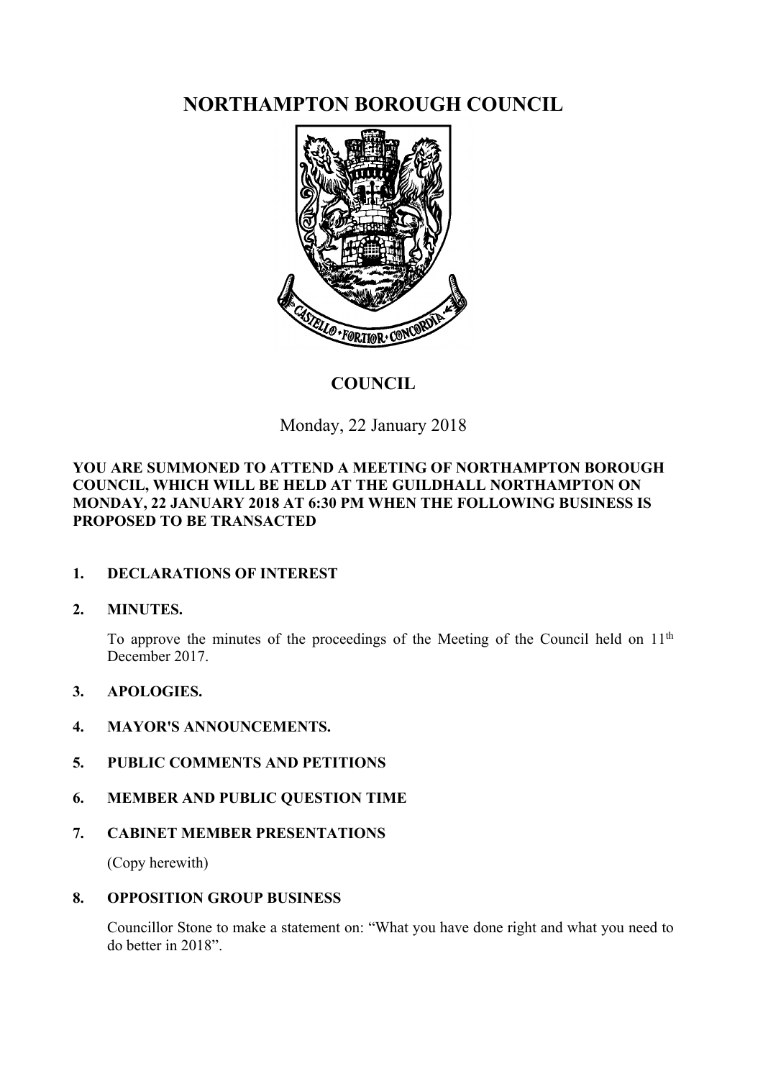**NORTHAMPTON BOROUGH COUNCIL**



# **COUNCIL**

Monday, 22 January 2018

### **YOU ARE SUMMONED TO ATTEND A MEETING OF NORTHAMPTON BOROUGH COUNCIL, WHICH WILL BE HELD AT THE GUILDHALL NORTHAMPTON ON MONDAY, 22 JANUARY 2018 AT 6:30 PM WHEN THE FOLLOWING BUSINESS IS PROPOSED TO BE TRANSACTED**

## **1. DECLARATIONS OF INTEREST**

#### **2. MINUTES.**

To approve the minutes of the proceedings of the Meeting of the Council held on 11th December 2017.

#### **3. APOLOGIES.**

#### **4. MAYOR'S ANNOUNCEMENTS.**

- **5. PUBLIC COMMENTS AND PETITIONS**
- **6. MEMBER AND PUBLIC QUESTION TIME**
- **7. CABINET MEMBER PRESENTATIONS**

(Copy herewith)

#### **8. OPPOSITION GROUP BUSINESS**

Councillor Stone to make a statement on: "What you have done right and what you need to do better in 2018".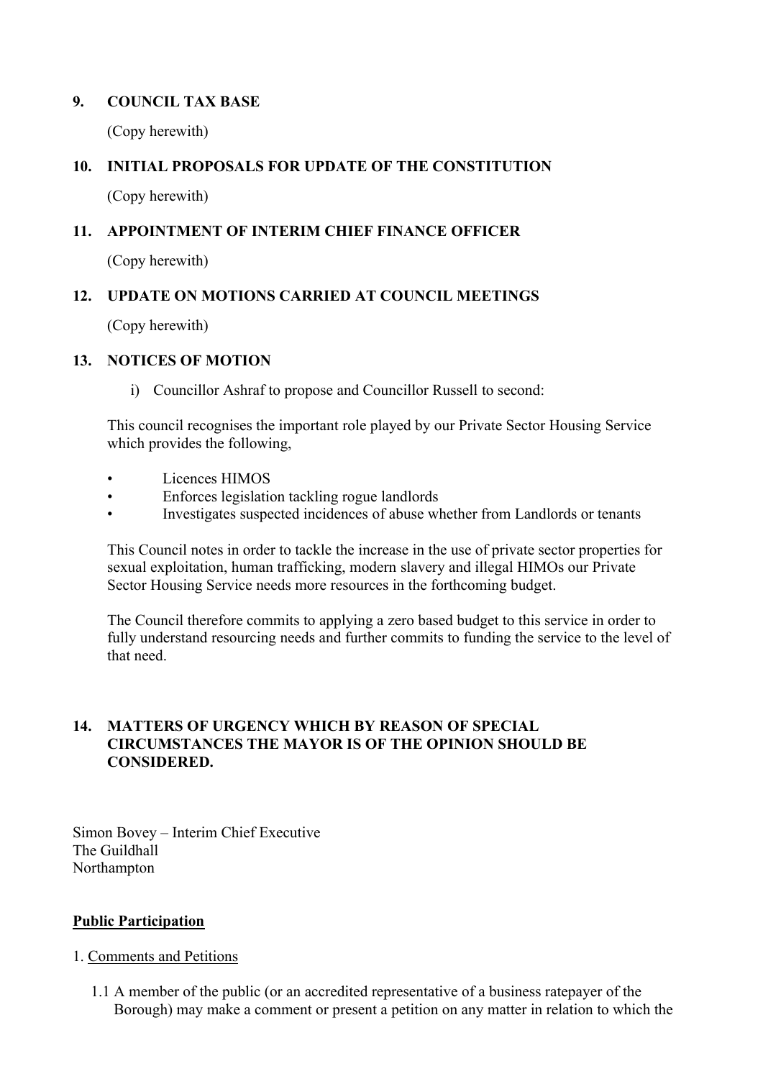#### **9. COUNCIL TAX BASE**

(Copy herewith)

## **10. INITIAL PROPOSALS FOR UPDATE OF THE CONSTITUTION**

(Copy herewith)

#### **11. APPOINTMENT OF INTERIM CHIEF FINANCE OFFICER**

(Copy herewith)

### **12. UPDATE ON MOTIONS CARRIED AT COUNCIL MEETINGS**

(Copy herewith)

#### **13. NOTICES OF MOTION**

i) Councillor Ashraf to propose and Councillor Russell to second:

This council recognises the important role played by our Private Sector Housing Service which provides the following,

- Licences HIMOS
- Enforces legislation tackling rogue landlords
- Investigates suspected incidences of abuse whether from Landlords or tenants

This Council notes in order to tackle the increase in the use of private sector properties for sexual exploitation, human trafficking, modern slavery and illegal HIMOs our Private Sector Housing Service needs more resources in the forthcoming budget.

The Council therefore commits to applying a zero based budget to this service in order to fully understand resourcing needs and further commits to funding the service to the level of that need.

#### **14. MATTERS OF URGENCY WHICH BY REASON OF SPECIAL CIRCUMSTANCES THE MAYOR IS OF THE OPINION SHOULD BE CONSIDERED.**

Simon Bovey – Interim Chief Executive The Guildhall Northampton

#### **Public Participation**

#### 1. Comments and Petitions

1.1 A member of the public (or an accredited representative of a business ratepayer of the Borough) may make a comment or present a petition on any matter in relation to which the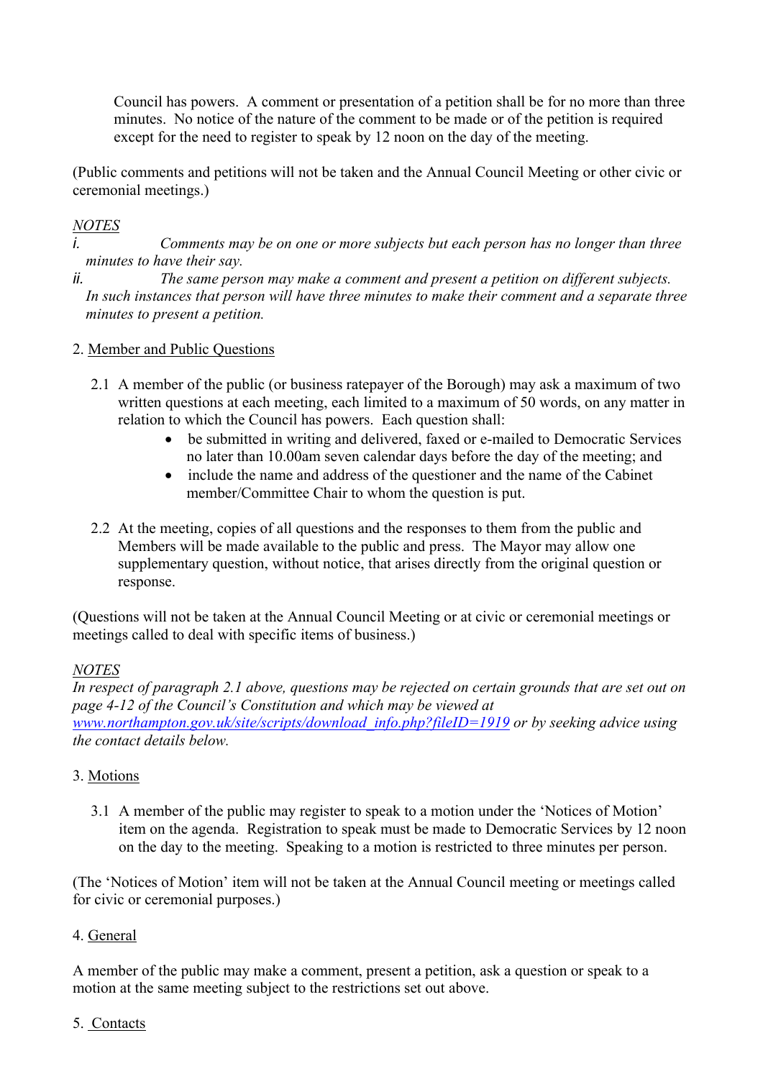Council has powers. A comment or presentation of a petition shall be for no more than three minutes. No notice of the nature of the comment to be made or of the petition is required except for the need to register to speak by 12 noon on the day of the meeting.

(Public comments and petitions will not be taken and the Annual Council Meeting or other civic or ceremonial meetings.)

## *NOTES*

*i. Comments may be on one or more subjects but each person has no longer than three minutes to have their say.*

*ii. The same person may make a comment and present a petition on different subjects. In such instances that person will have three minutes to make their comment and a separate three minutes to present a petition.*

#### 2. Member and Public Questions

- 2.1 A member of the public (or business ratepayer of the Borough) may ask a maximum of two written questions at each meeting, each limited to a maximum of 50 words, on any matter in relation to which the Council has powers. Each question shall:
	- be submitted in writing and delivered, faxed or e-mailed to Democratic Services no later than 10.00am seven calendar days before the day of the meeting; and
	- include the name and address of the questioner and the name of the Cabinet member/Committee Chair to whom the question is put.
- 2.2 At the meeting, copies of all questions and the responses to them from the public and Members will be made available to the public and press. The Mayor may allow one supplementary question, without notice, that arises directly from the original question or response.

(Questions will not be taken at the Annual Council Meeting or at civic or ceremonial meetings or meetings called to deal with specific items of business.)

#### *NOTES*

In respect of paragraph 2.1 above, questions may be rejected on certain grounds that are set out on *page 4-12 of the Council's Constitution and which may be viewed at [www.northampton.gov.uk/site/scripts/download\\_info.php?fileID=1919](http://www.northampton.gov.uk/site/scripts/download_info.php?fileID=1919) or by seeking advice using the contact details below.*

#### 3. Motions

3.1 A member of the public may register to speak to a motion under the 'Notices of Motion' item on the agenda. Registration to speak must be made to Democratic Services by 12 noon on the day to the meeting. Speaking to a motion is restricted to three minutes per person.

(The 'Notices of Motion' item will not be taken at the Annual Council meeting or meetings called for civic or ceremonial purposes.)

#### 4. General

A member of the public may make a comment, present a petition, ask a question or speak to a motion at the same meeting subject to the restrictions set out above.

#### 5. Contacts